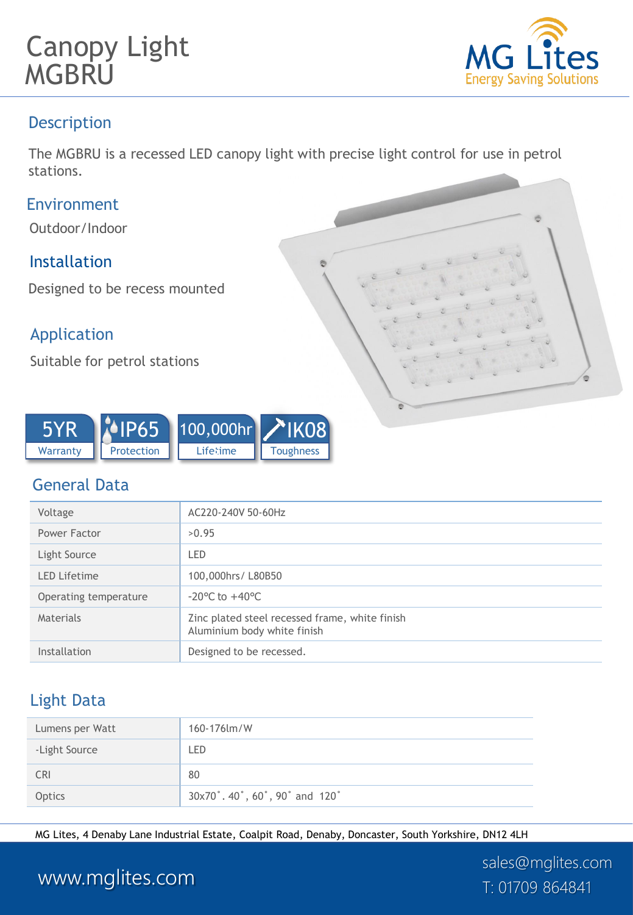



### **Description**

The MGBRU is a recessed LED canopy light with precise light control for use in petrol stations.

#### Environment

Outdoor/Indoor

### Installation

Designed to be recess mounted

### Application

Suitable for petrol stations



### General Data

| Voltage               | AC220-240V 50-60Hz                                                            |
|-----------------------|-------------------------------------------------------------------------------|
| Power Factor          | >0.95                                                                         |
| Light Source          | LED                                                                           |
| <b>LED Lifetime</b>   | 100,000hrs/L80B50                                                             |
| Operating temperature | $-20^{\circ}$ C to $+40^{\circ}$ C                                            |
| Materials             | Zinc plated steel recessed frame, white finish<br>Aluminium body white finish |
| Installation          | Designed to be recessed.                                                      |

### Light Data

| Lumens per Watt | 160-176 lm/W                |
|-----------------|-----------------------------|
| -Light Source   | LED                         |
| <b>CRI</b>      | 80                          |
| Optics          | 30x70°.40°,60°,90° and 120° |

MG Lites, 4 Denaby Lane Industrial Estate, Coalpit Road, Denaby, Doncaster, South Yorkshire, DN12 4LH

# www.mglites.com T: 01709 864841

sales@mglites.com